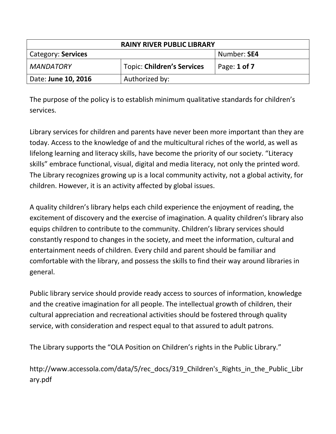| <b>RAINY RIVER PUBLIC LIBRARY</b> |                                   |                  |
|-----------------------------------|-----------------------------------|------------------|
| Category: Services                |                                   | Number: SE4      |
| <b>MANDATORY</b>                  | <b>Topic: Children's Services</b> | Page: $1$ of $7$ |
| Date: June 10, 2016               | Authorized by:                    |                  |

The purpose of the policy is to establish minimum qualitative standards for children's services.

Library services for children and parents have never been more important than they are today. Access to the knowledge of and the multicultural riches of the world, as well as lifelong learning and literacy skills, have become the priority of our society. "Literacy skills" embrace functional, visual, digital and media literacy, not only the printed word. The Library recognizes growing up is a local community activity, not a global activity, for children. However, it is an activity affected by global issues.

A quality children's library helps each child experience the enjoyment of reading, the excitement of discovery and the exercise of imagination. A quality children's library also equips children to contribute to the community. Children's library services should constantly respond to changes in the society, and meet the information, cultural and entertainment needs of children. Every child and parent should be familiar and comfortable with the library, and possess the skills to find their way around libraries in general.

Public library service should provide ready access to sources of information, knowledge and the creative imagination for all people. The intellectual growth of children, their cultural appreciation and recreational activities should be fostered through quality service, with consideration and respect equal to that assured to adult patrons.

The Library supports the "OLA Position on Children's rights in the Public Library."

http://www.accessola.com/data/5/rec\_docs/319\_Children's\_Rights\_in\_the\_Public\_Libr ary.pdf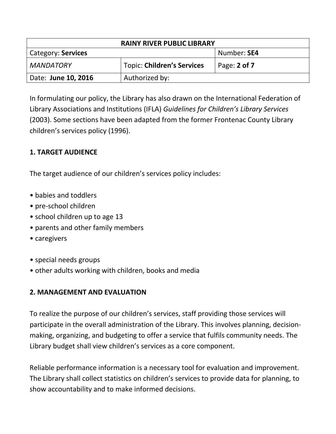| <b>RAINY RIVER PUBLIC LIBRARY</b> |                                   |              |
|-----------------------------------|-----------------------------------|--------------|
| Category: Services                |                                   | Number: SE4  |
| MANDATORY                         | <b>Topic: Children's Services</b> | Page: 2 of 7 |
| Date: June 10, 2016               | Authorized by:                    |              |

In formulating our policy, the Library has also drawn on the International Federation of Library Associations and Institutions (IFLA) *Guidelines for Children's Library Services* (2003). Some sections have been adapted from the former Frontenac County Library children's services policy (1996).

# **1. TARGET AUDIENCE**

The target audience of our children's services policy includes:

- babies and toddlers
- pre-school children
- school children up to age 13
- parents and other family members
- caregivers
- special needs groups
- other adults working with children, books and media

## **2. MANAGEMENT AND EVALUATION**

To realize the purpose of our children's services, staff providing those services will participate in the overall administration of the Library. This involves planning, decisionmaking, organizing, and budgeting to offer a service that fulfils community needs. The Library budget shall view children's services as a core component.

Reliable performance information is a necessary tool for evaluation and improvement. The Library shall collect statistics on children's services to provide data for planning, to show accountability and to make informed decisions.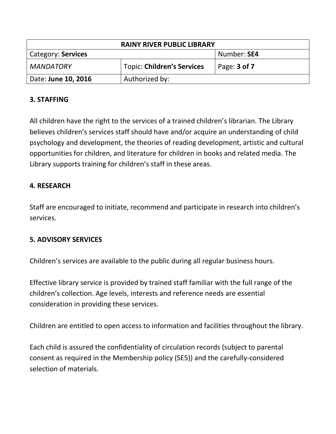| <b>RAINY RIVER PUBLIC LIBRARY</b> |                                   |                     |
|-----------------------------------|-----------------------------------|---------------------|
| Category: Services                |                                   | Number: SE4         |
| <b>MANDATORY</b>                  | <b>Topic: Children's Services</b> | Page: <b>3 of 7</b> |
| Date: June 10, 2016               | Authorized by:                    |                     |

## **3. STAFFING**

All children have the right to the services of a trained children's librarian. The Library believes children's services staff should have and/or acquire an understanding of child psychology and development, the theories of reading development, artistic and cultural opportunities for children, and literature for children in books and related media. The Library supports training for children's staff in these areas.

### **4. RESEARCH**

Staff are encouraged to initiate, recommend and participate in research into children's services.

#### **5. ADVISORY SERVICES**

Children's services are available to the public during all regular business hours.

Effective library service is provided by trained staff familiar with the full range of the children's collection. Age levels, interests and reference needs are essential consideration in providing these services.

Children are entitled to open access to information and facilities throughout the library.

Each child is assured the confidentiality of circulation records (subject to parental consent as required in the Membership policy (SE5)) and the carefully-considered selection of materials.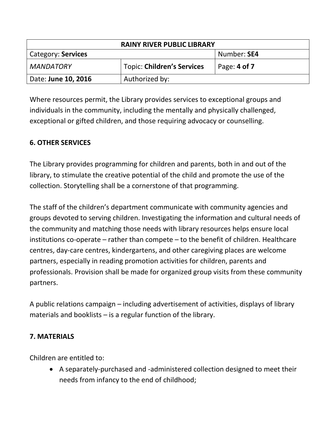| <b>RAINY RIVER PUBLIC LIBRARY</b> |                                   |              |
|-----------------------------------|-----------------------------------|--------------|
| Category: Services                |                                   | Number: SE4  |
| <b>MANDATORY</b>                  | <b>Topic: Children's Services</b> | Page: 4 of 7 |
| Date: June 10, 2016               | Authorized by:                    |              |

Where resources permit, the Library provides services to exceptional groups and individuals in the community, including the mentally and physically challenged, exceptional or gifted children, and those requiring advocacy or counselling.

# **6. OTHER SERVICES**

The Library provides programming for children and parents, both in and out of the library, to stimulate the creative potential of the child and promote the use of the collection. Storytelling shall be a cornerstone of that programming.

The staff of the children's department communicate with community agencies and groups devoted to serving children. Investigating the information and cultural needs of the community and matching those needs with library resources helps ensure local institutions co-operate – rather than compete – to the benefit of children. Healthcare centres, day-care centres, kindergartens, and other caregiving places are welcome partners, especially in reading promotion activities for children, parents and professionals. Provision shall be made for organized group visits from these community partners.

A public relations campaign – including advertisement of activities, displays of library materials and booklists – is a regular function of the library.

# **7. MATERIALS**

Children are entitled to:

 A separately-purchased and -administered collection designed to meet their needs from infancy to the end of childhood;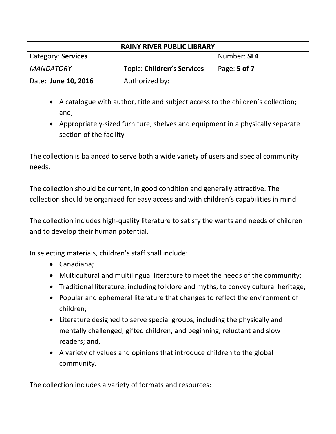| <b>RAINY RIVER PUBLIC LIBRARY</b> |                                   |              |
|-----------------------------------|-----------------------------------|--------------|
| Category: Services                |                                   | Number: SE4  |
| MANDATORY                         | <b>Topic: Children's Services</b> | Page: 5 of 7 |
| Date: June 10, 2016               | Authorized by:                    |              |

- A catalogue with author, title and subject access to the children's collection; and,
- Appropriately-sized furniture, shelves and equipment in a physically separate section of the facility

The collection is balanced to serve both a wide variety of users and special community needs.

The collection should be current, in good condition and generally attractive. The collection should be organized for easy access and with children's capabilities in mind.

The collection includes high-quality literature to satisfy the wants and needs of children and to develop their human potential.

In selecting materials, children's staff shall include:

- Canadiana;
- Multicultural and multilingual literature to meet the needs of the community;
- Traditional literature, including folklore and myths, to convey cultural heritage;
- Popular and ephemeral literature that changes to reflect the environment of children;
- Literature designed to serve special groups, including the physically and mentally challenged, gifted children, and beginning, reluctant and slow readers; and,
- A variety of values and opinions that introduce children to the global community.

The collection includes a variety of formats and resources: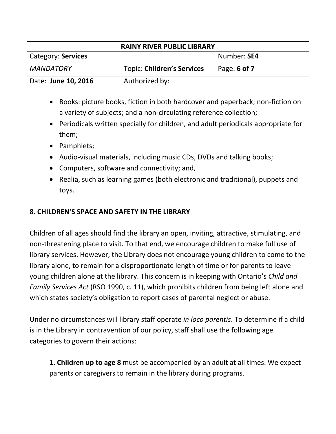| <b>RAINY RIVER PUBLIC LIBRARY</b> |                            |              |
|-----------------------------------|----------------------------|--------------|
| Category: Services                |                            | Number: SE4  |
| <b>MANDATORY</b>                  | Topic: Children's Services | Page: 6 of 7 |
| Date: June 10, 2016               | Authorized by:             |              |

- Books: picture books, fiction in both hardcover and paperback; non-fiction on a variety of subjects; and a non-circulating reference collection;
- Periodicals written specially for children, and adult periodicals appropriate for them;
- Pamphlets;
- Audio-visual materials, including music CDs, DVDs and talking books;
- Computers, software and connectivity; and,
- Realia, such as learning games (both electronic and traditional), puppets and toys.

# **8. CHILDREN'S SPACE AND SAFETY IN THE LIBRARY**

Children of all ages should find the library an open, inviting, attractive, stimulating, and non-threatening place to visit. To that end, we encourage children to make full use of library services. However, the Library does not encourage young children to come to the library alone, to remain for a disproportionate length of time or for parents to leave young children alone at the library. This concern is in keeping with Ontario's *Child and Family Services Act* (RSO 1990, c. 11), which prohibits children from being left alone and which states society's obligation to report cases of parental neglect or abuse.

Under no circumstances will library staff operate *in loco parentis*. To determine if a child is in the Library in contravention of our policy, staff shall use the following age categories to govern their actions:

**1. Children up to age 8** must be accompanied by an adult at all times. We expect parents or caregivers to remain in the library during programs.